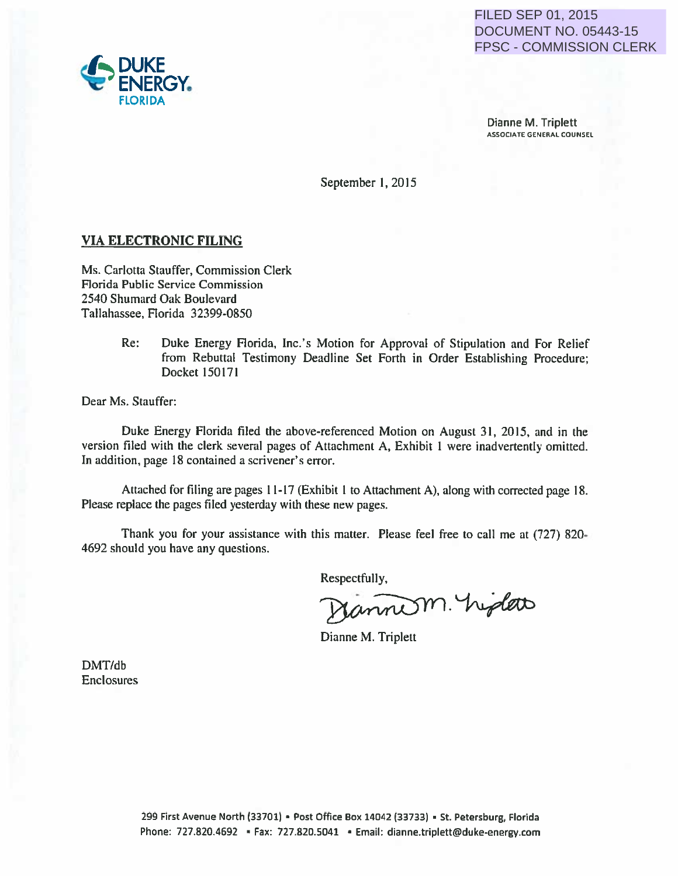DOCUMENT NO. 05443-15 FPSC - COMMISSION CLERK

Dianne M. Triplett ASSOCIATE GENERAL COUNSEL

September I, 2015

### VIA ELECTRONIC FILING

Ms. Carlotta Stauffer, Commission Clerk Aorida Public Service Commission 2540 Shumard Oak Boulevard Tallahassee, Florida 32399-0850

> Re: Duke Energy Florida, Inc.'s Motion for Approval of Stipulation and For Relief from Rebuttal Testimony Deadline Set Forth in Order Establishing Procedure; Docket 150171

Dear Ms. Stauffer:

Duke Energy Florida filed the above-referenced Motion on August 31, 2015, and in the version filed with the clerk several pages of Attachment A, Exhibit I were inadvertently omitted. In addition, page 18 contained a scrivener's error. FILED SEE<br>
Phone: 727.820.4692<br>
FROOME FILING<br>
ERGY,<br>
FIRONIC FILING<br>
IS Sunter, Commission<br>
September 1, 2015<br>
Sunter, Commission<br>
September 1, 2015<br>
New Society Florida (Figure 2016)<br>
A Sunce The Section Context<br>
In Reba

Attached for filing are pages 11-17 (Exhibit I to Attachment A), along with corrected page 18. Please replace the pages filed yesterday with these new pages.

Thank you for your assistance with this matter. Please feel free to call me at (727) 820· 4692 should you have any questions.

Respectfully,

Dianne M. Triplett

DMT/db Enclosures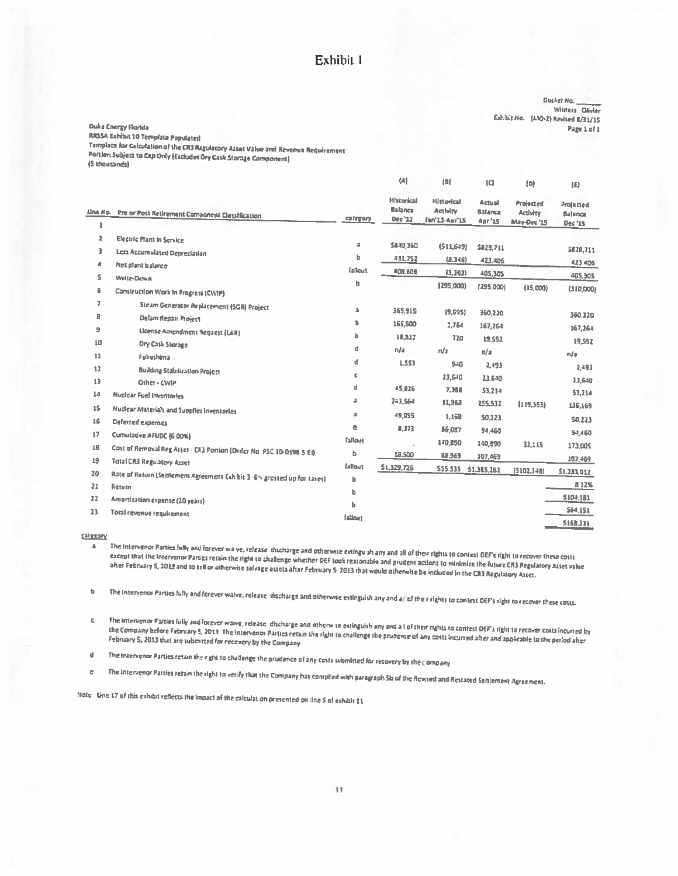### Exhibit 1

Docket Na. Witness Divier Eshibit No. (MO-2) Revised 8/31/15 Page 1 of 1

#### **Ouke Energy Florida**

RRSSA Exhibit 10 Tempfata Populated

Template for Calculation of the CR3 Regulatory Asset Value and Revenue Requirement Portlan Subject to Cap Only (Eacludes Ory Cask Storage Component) (5 thousands)

|                     |                                                                                                              |                         | (A)                                            | [ <sub>B</sub> ]                               | $\overline{1}$                           | $\{D\}$                              | (E)                             |
|---------------------|--------------------------------------------------------------------------------------------------------------|-------------------------|------------------------------------------------|------------------------------------------------|------------------------------------------|--------------------------------------|---------------------------------|
| $\mathbf{1}$        | Lin <u>e No. Pre or Post Retirement Component Classification</u>                                             | category                | <b>Historical</b><br><b>Balance</b><br>Dec '12 | <b>Historical</b><br>Activity<br>Jan'13-Apr'15 | Attual<br>Balanca<br>Apr <sup>1</sup> 15 | Projected<br>Activity<br>May-Dec '15 | Projected<br>Balance<br>Dec '15 |
| $\mathbf{z}$<br>3   | <b>Electric Plant in Service</b><br>Less Accumulated Depreciation                                            | $\overline{\mathbf{a}}$ | \$840,360                                      | (511, 649)                                     | <b>SB28,711</b>                          |                                      | 5828,711                        |
| Æ<br>s              | Net plant balance                                                                                            | ь<br>fallout            | 431,752<br>408,608                             | (8.346)<br>(1, 303)                            | 423,406<br>405,305                       |                                      | 423,406<br>405.305              |
| 6                   | <b>Write-Down</b><br>Construction Work in Progress (CWIP)                                                    | b                       |                                                | (295,000)                                      | (295,000)                                | (15,000)                             | (310,000)                       |
| 7.<br>A             | Steam Generator Replacement (SGR) Project<br>Delam Repair Project                                            | ă.                      | 369,915                                        | [9, 695]                                       | 360,220                                  |                                      | 360.220                         |
| 9                   | License Amendment Request (LAR)                                                                              | 'n.<br>h                | 165,500<br>18,832                              | 1,764<br>720                                   | 167,264                                  |                                      | 167,264                         |
| 10<br>11            | Dry Cask Storage<br>Fakuthima                                                                                | d                       | n/a                                            | n/a                                            | 19.552<br>n/a                            |                                      | 19,552<br>n/a                   |
| 12                  | <b>Building Stabilization Project</b>                                                                        | d<br>$\mathbf c$        | 1,553                                          | 940<br>23.640                                  | 2.493<br>23,640                          |                                      | 2.493                           |
| 13<br>14            | Other - CWIP<br>Nuclear Fuel Inventories                                                                     | d                       | 45,826                                         | 7.388                                          | 53,214                                   |                                      | 23,640<br>53,214                |
| 15                  | <b>Nuclear Materials and Supplies Inventories</b>                                                            | a<br>а                  | 243,564<br>49,055                              | 11,968<br>1,168                                | 255.532<br>50.123                        | (119, 363)                           | 136,169                         |
| 16<br>$\mathbf{17}$ | Deferred expenses<br>Comulative AFUDC (6.00%)                                                                | e                       | 8.373                                          | 86.087                                         | 94,460                                   |                                      | 50.223<br>54,460                |
| 18                  | Cost of Removal Reg Asset - CR3 Portion (Order No. PSC 10-0398 5 EI)                                         | fallout<br>ъ            | 18,500                                         | 140,890<br>88.969                              | 140,890<br>107,469                       | 32,115                               | 173,005<br>107,469              |
| 19<br>20            | <b>Total CR3 Regulatory Asset</b><br>Rale of Return (Settlement Agreement Exhibit 3-6% grossed up for taxes) | fallout<br>ы            | 51,329,726                                     |                                                | 555.535 51,385,261                       | 15102.2481                           | \$1,283,012                     |
| 21<br>22            | Return                                                                                                       | 缶                       |                                                |                                                |                                          |                                      | a.12%<br>5104.181               |
| 23                  | Amortization expense (20 years)<br>Total revenue requirement                                                 | ь<br>fallout            |                                                |                                                |                                          |                                      | 564,151<br>5168.331             |

gategory

The Intervenor Parties fully and forever wa ve, release ducharge and otherwise entinguish any and all of their rights to contest OEF's right to recover these costs a except that the Interventor Parties retain the right to challenge whether DEF took reasonable and prudent actions to minimize the future CR3 Regulatory Asset value of the fightiary 5, 2013 and to sell or otherwise salvage assets after February 5, 2013 that would otherwise be included in the CR3 Regulatory Asset.<br>Their February 5, 2013 and to sell or otherwise salvage assets after Feb

The Intervenor Parties fully and forever walve, release idscharge and otherwise estinguish any and all af their rights to contest DEF's right to recover these costs. 'n

The intervenor Parties fully and forever waive, release, discharge and otherwise estingulshiany and a Lof their rights to contest DEF's right to recover costs incurred by  $\mathbf{c}$ the Company before February 5, 2013 The intervenor Parties retain the right to challenge the prudence of any costs incurred after and applicable to the period after February 5, 2013 that are submitted for recovery by the Company

The Intervenor Parties retain the right to challenge the prudence of any costs submitted for recovery by the Company  $\mathbf{d}$ 

The Intervenor Parties retain the right to verify that the Company has complied with paragraph Sh of the Revised and Restated Settlement Agreement.  $\mathbf{c}$ 

Note - Une 17 of this exhibit reflects the impact of the calculation presented on line 5 of exhibit 11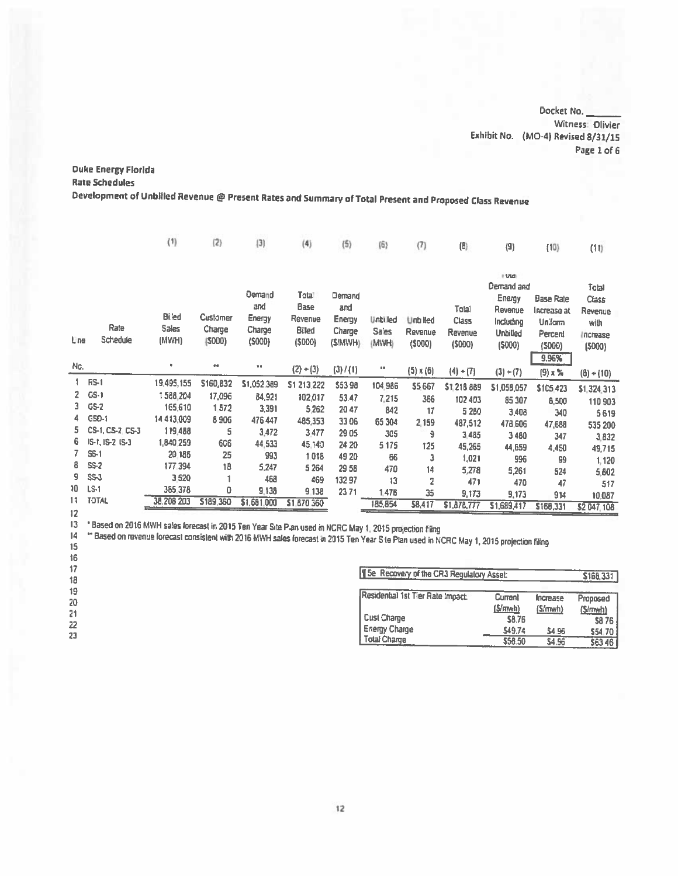Docket No. Witness: Olivier Exhibit No. (MO-4) Revised 8/31/15 Page 1 of 6

## **Duke Energy Florida**

**Rate Schedules** 

Development of Unbilled Revenue @ Present Rates and Summary of Total Present and Proposed Class Revenue

| I Utal<br>Demand and                                                                                                                                                                                                                                                                                                                                                                                                                                                                                             | Total<br>Class<br>Revenue  |
|------------------------------------------------------------------------------------------------------------------------------------------------------------------------------------------------------------------------------------------------------------------------------------------------------------------------------------------------------------------------------------------------------------------------------------------------------------------------------------------------------------------|----------------------------|
| Demand<br>Tota <sup>1</sup><br>Demand<br>Energy<br>Base Rate<br>and<br>Base<br>and<br>Total<br>Revenue<br>Increase at<br><b>Biled</b><br>Customer<br>Energy<br>Revenue<br><b>Energy</b><br><b>Unbilled</b><br><b>Unb Red</b><br><b>Class</b><br>Including<br>Uniform<br>Rate<br>Sales<br>Charge<br>Charge<br>Billed<br>Charge<br><b>Sales</b><br>Revenue<br>Ravenue<br>Unbilled<br>Percent<br>Schedule<br>Lne<br>(MWH)<br>(5000)<br>(5000)<br>(5000)<br>(S/MWH)<br>(MWH)<br>(5000)<br>(5000)<br>(5000)<br>(5000) | with<br>Increase<br>(5000) |
| 9.96%<br>Nc.<br>۰<br>$\bullet\bullet$<br>$^{+0}$<br>$(2) + (3)$<br>(3) / (1)<br>68<br>$(5) \times (6)$<br>$(4) + (7)$<br>$(3) + (7)$<br>$(9) \times \%$                                                                                                                                                                                                                                                                                                                                                          | $(8) + (10)$               |
| <b>RS-1</b><br>19,495,155<br>\$160,832<br>\$1,052,389<br>\$1 213,222<br>\$5398<br>104,986<br>\$5,667<br>\$1,218,889<br>\$1,058,057<br>\$105.423                                                                                                                                                                                                                                                                                                                                                                  | \$1,324,313                |
| $\overline{2}$<br>$GS-1$<br>1588.204<br>17,096<br>84,921<br>102,017<br>53.47<br>7,215<br>386<br>102 403<br>85 307<br>8,500                                                                                                                                                                                                                                                                                                                                                                                       | 110 903                    |
| $GS-2$<br>3.<br>165,610<br>1872<br>3,391<br>5.262<br>2047<br>842<br>17<br>5 2 8 0<br>3,408                                                                                                                                                                                                                                                                                                                                                                                                                       | 340<br>5619                |
| GSD-1<br>4.<br>14 4 13 009<br>8906<br>476 447<br>485,353<br>33 06<br>65 304<br>2,159<br>487,512<br>478,606<br>47,688                                                                                                                                                                                                                                                                                                                                                                                             | 535 200                    |
| 5.<br>CS-1, CS-2, CS-3<br>119,488<br>5<br>3,472<br>3,477<br>29 05<br>305<br>9<br>3,485<br>3480                                                                                                                                                                                                                                                                                                                                                                                                                   | 347<br>3,832               |
| IS-1, IS-2 IS-3<br>6.<br>1,840.259<br>606<br>44,533<br>45,140<br>24 20<br>5 1 7 5<br>125<br>45,265<br>44,659<br>4,450                                                                                                                                                                                                                                                                                                                                                                                            | 49,715                     |
| <b>SS-1</b><br>7.<br>20 18 5<br>25<br>993<br>1.018<br>49 20<br>66<br>з<br>1,021<br>996                                                                                                                                                                                                                                                                                                                                                                                                                           | 99<br>1,120                |
| $SS-2$<br>8.<br>177.394<br>18<br>5,247<br>5 2 64<br>29 58<br>470<br>14<br>5,278<br>5,261                                                                                                                                                                                                                                                                                                                                                                                                                         | 524<br>5,602               |
| 9<br>$SS-3$<br>3.520<br>468<br>469<br>13297<br>13<br>$\overline{2}$<br>471<br>470                                                                                                                                                                                                                                                                                                                                                                                                                                | 47<br>517                  |
| 10<br>$LS-1$<br>385.378<br>0<br>9.138<br>9.138<br>2371<br>1.478<br>35<br>9,173<br>9,173<br>11                                                                                                                                                                                                                                                                                                                                                                                                                    | 914<br>10,087              |
| <b>TOTAL</b><br>38,208,203<br>\$189,360<br>\$1,681,000<br>\$1,870,360<br>185,854<br>58,417<br>\$1,878,777<br>\$1,689,417<br>\$166,331<br>12                                                                                                                                                                                                                                                                                                                                                                      | \$2 047,108                |

13 \* Based on 2016 MWH sales forecast in 2015 Ten Year Site P.an used in NCRC May 1, 2015 projection Fling

"Based on revenue forecast consistent with 2016 MWH sales forecast in 2015 Ten Year S to Plan used in NCRC May 1, 2015 projection filing  $14\,$  $\frac{15}{16}$ 

| - 14<br>17<br>18           | 15e Recovery of the CR3 Regulatory Asset:                                                      |                                                         |                                         | \$168.331                                               |
|----------------------------|------------------------------------------------------------------------------------------------|---------------------------------------------------------|-----------------------------------------|---------------------------------------------------------|
| 19<br>20<br>21<br>22<br>23 | Residential 1st Tier Rate Impact:<br>Cust Chame<br><b>Energy Charge</b><br><b>Total Charge</b> | Current<br>(S/mwh)<br><b>S8.76</b><br>S49.74<br>\$58.50 | Increase<br>(S/mwh)<br>\$4.96<br>\$4.96 | Proposed<br>(Simwh)<br><b>S876</b><br>\$54.70<br>\$6346 |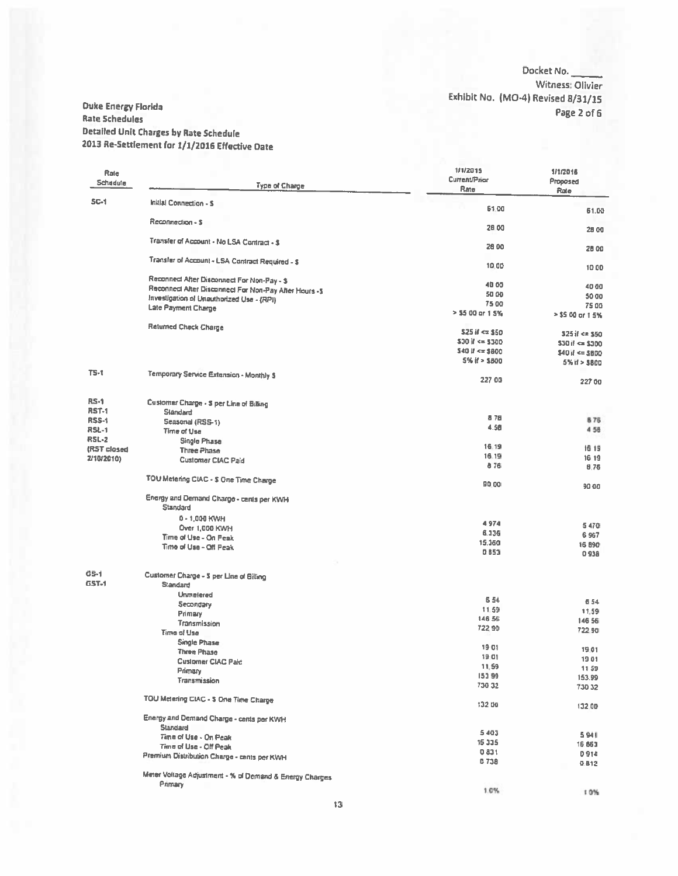#### Docket No. Witness: Olivier Exhibit No. (MO-4) Revised 8/31/15 Page 2 of 6

#### **Ouke Energy Florida Rate Schedules Detailed Unit Charges by Rate Schedule** 2013 Re-Settlement for 1/1/2016 Effective Date

| Rale<br>Schedule     | <b>Type of Charge</b>                                       | 1/1/2015<br><b>Current/Prior</b><br>Rate | 1/1/2016<br>Proposed<br>Rate              |
|----------------------|-------------------------------------------------------------|------------------------------------------|-------------------------------------------|
| <b>SC-1</b>          | Initial Connection - S                                      | 61.00                                    |                                           |
|                      | Reconnection - \$                                           |                                          | 61.00                                     |
|                      | Transfer of Account - No LSA Contract - \$                  | 28.00                                    | 28 00                                     |
|                      |                                                             | 26 00                                    | 28.00                                     |
|                      | Transfer of Account - LSA Contract Required - \$            | 10.00                                    | 1000                                      |
|                      | Reconnect After Disconnect For Non-Pay - \$                 | 40.00                                    | 40 00                                     |
|                      | Reconnect After Disconnect For Non-Pay After Hours -\$      | 50 00                                    | 50 00                                     |
|                      | Investigation of Unauthorized Use - (RPI)                   | 75 00                                    | 75.00                                     |
|                      | Late Payment Charge                                         | > \$5.00 or 1.5%                         | > \$5.00 or 1.5%                          |
|                      | <b>Raturned Check Charge</b>                                | $$25i$ $~0$ $~0$ $$50$                   |                                           |
|                      |                                                             | $530$ if $\leq 5300$                     | 325 if <= \$50<br>$530$ if $\approx 5300$ |
|                      |                                                             | $540$ $\mu$ <= \$800                     | $$40$ if $\leq 3800$                      |
|                      |                                                             | 5% if > \$800                            | $5%$ if $> 5800$                          |
| $TS-1$               | Temporary Service Extension - Monthly S                     |                                          |                                           |
|                      |                                                             | 227 00                                   | 227 00                                    |
| $RS-1$               | Customer Charge - \$ per Line of Billing                    |                                          |                                           |
| <b>RST-1</b>         | Slandard                                                    | 876                                      |                                           |
| <b>RSS-1</b>         | Seasonal (RSS-1)                                            | 4.58                                     | <b>B75</b>                                |
| <b>RSL-1</b>         | <b>Time of Use</b>                                          |                                          | 4 58                                      |
| <b>RSL-2</b>         | Single Phase                                                | 16.19                                    | 16 19                                     |
| (RST closed          | <b>Three Phase</b>                                          | 16.19                                    | 16 19                                     |
| 2/10/2010)           | <b>Customer CIAC Paid</b>                                   | 876                                      | 8.76                                      |
|                      | TOU Metering CIAC - \$ One Time Charge                      | 90.00                                    | 90.00                                     |
|                      | Energy and Demand Charge - cerits per KWH                   |                                          |                                           |
|                      | Standard                                                    |                                          |                                           |
|                      | $0 - 1,000$ KWH                                             | 4974                                     |                                           |
|                      | Over 1,000 KWH                                              | 6.336                                    | 5470                                      |
|                      | Time of Use - On Peak                                       | 15.360                                   | 6 9 67                                    |
|                      | Time of Use - Off Peak                                      | 0 8 5 3                                  | 16 890<br>0938                            |
|                      |                                                             |                                          |                                           |
| GS-1<br><b>GST-1</b> | Customer Charge - 5 per Line of Billing<br>Standard         |                                          |                                           |
|                      | Unmelered                                                   |                                          |                                           |
|                      | Secondary                                                   | 6 5 4                                    | 654                                       |
|                      | Primary                                                     | 11.59                                    | 11.59                                     |
|                      | Transmission                                                | 146 56                                   | 146 56                                    |
|                      | Time of Use                                                 | 722.90                                   | 722.90                                    |
|                      | <b>Single Phase</b>                                         | 1901                                     |                                           |
|                      | <b>Three Phase</b>                                          |                                          | 19.01                                     |
|                      | <b>Customer CIAC Pald</b>                                   | 19.01<br>11.59                           | 1901                                      |
|                      | Primary                                                     | 153 99                                   | 1159                                      |
|                      | Transmission                                                | 730 32                                   | 153.99<br>73032                           |
|                      |                                                             |                                          |                                           |
|                      | TOU Metering CIAC - \$ One Time Charge                      | 132 00                                   | 132.00                                    |
|                      | Energy and Demand Charge - cents per KWH<br><b>Standard</b> |                                          |                                           |
|                      | Time of Use - On Peak                                       | 5403                                     | 5941                                      |
|                      | Time of Use - Off Peak                                      | 15 335                                   | 16.863                                    |
|                      | Premium Distribution Charge - cents per KWH                 | 0831                                     | 0914                                      |
|                      |                                                             | 0738                                     | 0.812                                     |
|                      | Meter Voltage Adjustment - % of Demand & Energy Charges     |                                          |                                           |
|                      | Primary                                                     | 1.0%                                     | 10%                                       |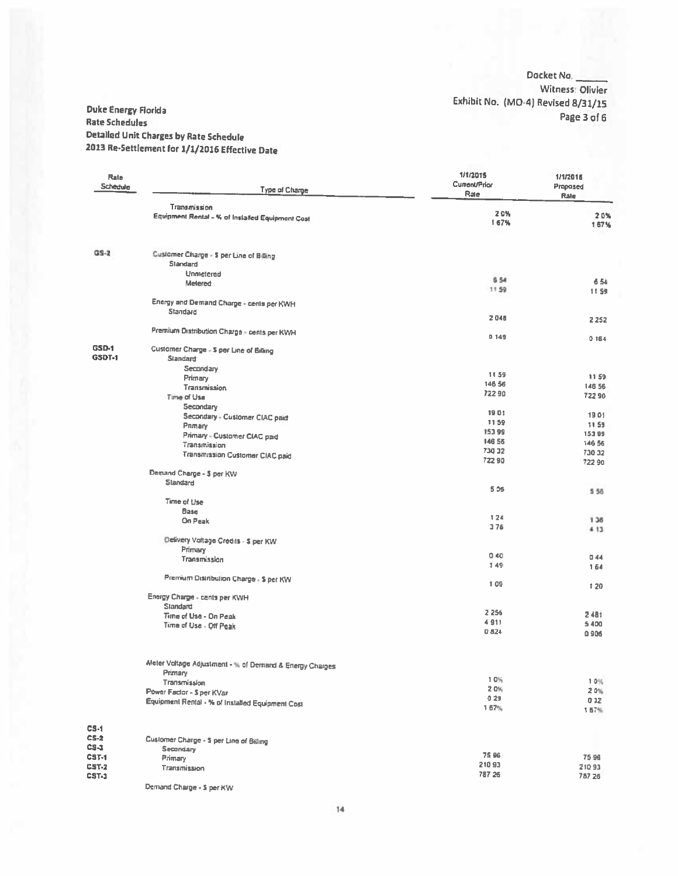Docket No. Witness: Olivier Exhibit No. (MO-4) Revised 8/31/15 Page 3 of 6

#### **Duke Energy Florida** Rate Schedules **Detailed Unit Charges by Rate Schedule** 2013 Re-Settlement for 1/1/2016 Effective Date

| Rate<br>Schedule              | <b>Type of Charge</b>                                   | 1/1/2015<br>Current/Prior<br>Rate | 1/1/2016<br>Proposed<br>Rale |
|-------------------------------|---------------------------------------------------------|-----------------------------------|------------------------------|
|                               | Transmission                                            |                                   |                              |
|                               | Equipment Rental - % of Installed Equipment Cost        | 20%<br>167%                       | 20%<br>1.67%                 |
| $GS-2$                        | Customer Charge - \$ per Line of Billing                |                                   |                              |
|                               | <b>Slandard</b>                                         |                                   |                              |
|                               | Unmetered                                               | <b>654</b>                        |                              |
|                               | Metered                                                 | 1159                              | 6.54<br>11.59                |
|                               | Energy and Demand Charge - cents per KWH                |                                   |                              |
|                               | Standard                                                |                                   |                              |
|                               |                                                         | 2046                              | 2 2 5 2                      |
|                               | Premium Distribution Charge - cents per KWH             |                                   |                              |
|                               |                                                         | 0149                              | 0.164                        |
| <b>GSD-1</b><br><b>GSDT-1</b> | Customer Charge - \$ per Line of Billing                |                                   |                              |
|                               | Standard                                                |                                   |                              |
|                               | Secondary<br>Primary                                    | 11.59                             | 1159                         |
|                               | <b>Transmission</b>                                     | 146 56                            | 146 56                       |
|                               | Time of Use                                             | 72290                             | 72290                        |
|                               | Secondary                                               |                                   |                              |
|                               | Secondary - Customer CIAC paid                          | 1901                              | 1901                         |
|                               | Primary                                                 | 1159                              | 11.59                        |
|                               | Primary - Customer CIAC paid                            | 15399<br>146 55                   | 15399                        |
|                               | Transmission                                            | 730 32                            | 146 56                       |
|                               | <b>Transmission Customer CIAC paid</b>                  | 72290                             | 730 32<br>722 90             |
|                               | Demand Charge - \$ per KW<br>Standard                   |                                   |                              |
|                               |                                                         | 5.06                              | 556                          |
|                               | Time of Use                                             |                                   |                              |
|                               | Base                                                    |                                   |                              |
|                               | On Peak                                                 | 124<br>376                        | 1.36                         |
|                               |                                                         |                                   | 4 13                         |
|                               | Delivery Voltage Credits - \$ per KW                    |                                   |                              |
|                               | Primary<br>Transmission                                 | 0.40                              | 0.44                         |
|                               |                                                         | 149                               | 164                          |
|                               | Premium Distribution Charge - \$ per KW                 |                                   |                              |
|                               |                                                         | 109                               | 120                          |
|                               | Energy Charge - cents per KWH                           |                                   |                              |
|                               | Standard                                                | 2 2 5 6                           |                              |
|                               | Time of Use - On Peak                                   | 4911                              | 2481                         |
|                               | Time of Use - Off Peak                                  | 0.824                             | 5400<br>0906                 |
|                               |                                                         |                                   |                              |
|                               | Meler Voltage Adjustment - % of Demand & Energy Charges |                                   |                              |
|                               | Primary                                                 |                                   |                              |
|                               | Transmission                                            | 10%<br>$2.0\%$                    | 1.0%                         |
|                               | Power Factor - \$ per KVar                              | 029                               | 20%                          |
|                               | Equipment Rental - % of Installed Equipment Cost        | 1 67%                             | 032<br>1.57%                 |
|                               |                                                         |                                   |                              |
| CS-1                          |                                                         |                                   |                              |
| CS-2                          | Customer Charge - \$ per Line of Billing                |                                   |                              |
| CS-1                          | Secondary                                               |                                   |                              |
| CST-1                         | Primary                                                 | 75 96                             | 75 96                        |
| CST-2                         | Transmission                                            | 21093                             | 21093                        |
| CST-3                         |                                                         | 787 26                            | 787 26                       |

Demand Charge - \$ per KW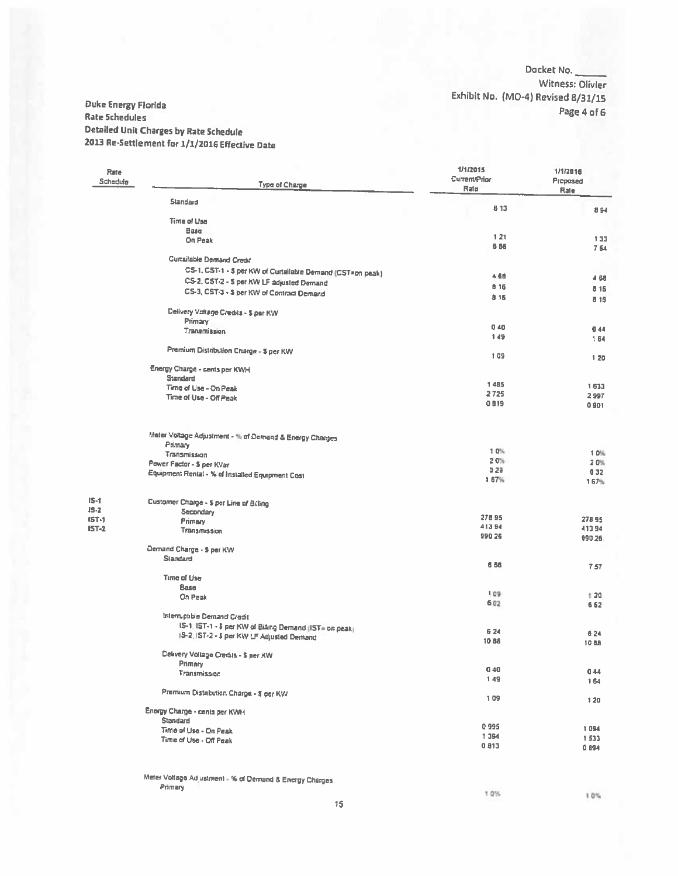#### Docket No. Witness: Olivier Exhibit No. (MO-4) Revised 8/31/15 Page 4 of 6

#### Duke Energy Florida **Rate Schedules** Detailed Unit Charges by Rate Schedule 2013 Re-Settlement for 1/1/2016 Effective Date

| Rate<br>Schedule | Type of Charge                                                                                        | 1/1/2015<br>Current/Prior<br>Rate | 1/1/2016<br>Proposed<br>Rale |  |
|------------------|-------------------------------------------------------------------------------------------------------|-----------------------------------|------------------------------|--|
|                  | <b>Standard</b>                                                                                       | 8 13                              |                              |  |
|                  | Time of Usa                                                                                           |                                   | 8 94                         |  |
|                  | <b>Base</b>                                                                                           |                                   |                              |  |
|                  | On Peak                                                                                               | 121                               | 133                          |  |
|                  |                                                                                                       | 686                               | 754                          |  |
|                  | <b>Curtailable Demand Credit</b>                                                                      |                                   |                              |  |
|                  | CS-1, CST-1 - 5 per KW of Curtailable Demand (CST=on peak)                                            |                                   |                              |  |
|                  | CS-2, CST-2 - \$ per KW LF adjusted Demand                                                            | 4.68                              | 4 68                         |  |
|                  | CS-3, CST-3 - \$ per KW of Contract Demand                                                            | 8 16                              | 816                          |  |
|                  |                                                                                                       | 8.15                              | 8 1 6                        |  |
|                  | Delivery Voltage Credits - \$ per KW                                                                  |                                   |                              |  |
|                  | Primary                                                                                               |                                   |                              |  |
|                  | Transmission                                                                                          | 040                               | 0.44                         |  |
|                  |                                                                                                       | 149                               | 164                          |  |
|                  | Premium Distribution Charge - \$ per KW                                                               |                                   |                              |  |
|                  |                                                                                                       | 109                               | 120                          |  |
|                  | Energy Charge - cents per KWH                                                                         |                                   |                              |  |
|                  | <b>Standard</b>                                                                                       | 1 485                             |                              |  |
|                  | Time of Use - On Peak                                                                                 | 2725                              | 1633                         |  |
|                  | Time of Use - Off Peak                                                                                | 0819                              | 2997<br>0.901                |  |
|                  |                                                                                                       |                                   |                              |  |
|                  | Meter Voltage Adjustment - % of Demand & Energy Charges                                               |                                   |                              |  |
|                  | Primary                                                                                               |                                   |                              |  |
|                  | Transmission                                                                                          | 1.0%                              | 1.0%                         |  |
|                  | Power Factor - \$ per KVar                                                                            | 20%                               | 2.0%                         |  |
|                  | Equipment Rental - % of Installed Equipment Cost                                                      | 0.29                              | 032                          |  |
|                  |                                                                                                       | 1 67%                             | 1 67%                        |  |
| $15 - 1$         | Customer Charge - 5 per Line of Brling                                                                |                                   |                              |  |
| $15 - 2$         | <b>Secondary</b>                                                                                      |                                   |                              |  |
| $15T-1$          | Primary                                                                                               | 27895                             | 27895                        |  |
| $IST-2$          | <b>Transmission</b>                                                                                   | 413 54                            | 413.94                       |  |
|                  |                                                                                                       | 990 26                            | 990 26                       |  |
|                  | Demand Charge - \$ per KW                                                                             |                                   |                              |  |
|                  | Slandard                                                                                              | 6 8 8                             |                              |  |
|                  |                                                                                                       |                                   | 7.57                         |  |
|                  | <b>Time of Use</b>                                                                                    |                                   |                              |  |
|                  | <b>Base</b>                                                                                           | 1.09.                             | 1.20                         |  |
|                  | On Peak                                                                                               | 6.02                              | 662                          |  |
|                  |                                                                                                       |                                   |                              |  |
|                  | Interruptible Demand Credit                                                                           |                                   |                              |  |
|                  | IS-1: IST-1 - \$ per KW of Billing Demand (IST= on peak)<br>IS-2, IST-2 - 5 per KW LF Adjusted Demand | 6 24                              | 6 24                         |  |
|                  |                                                                                                       | 1088                              | <b>1088</b>                  |  |
|                  | Delivery Voltage Credits - \$ per KW                                                                  |                                   |                              |  |
|                  | Primary                                                                                               |                                   |                              |  |
|                  | Transmission                                                                                          | 0.40                              | 044                          |  |
|                  |                                                                                                       | 149                               | 164                          |  |
|                  | Premium Distribution Charge - \$ per KW                                                               | 109                               | 120                          |  |
|                  | Energy Charge - cents per KWH                                                                         |                                   |                              |  |
|                  | <b>Standard</b>                                                                                       | 0995                              | 1094                         |  |
|                  | Time of Use - On Peak                                                                                 | 1394                              | 1533                         |  |
|                  | Time of Use - Off Peak                                                                                | 0813                              | 0894                         |  |
|                  |                                                                                                       |                                   |                              |  |
|                  |                                                                                                       |                                   |                              |  |

#### Meter Voltage Ad ustment - % of Demand & Energy Charges Primary

 $\bf 15$ 

10%

10%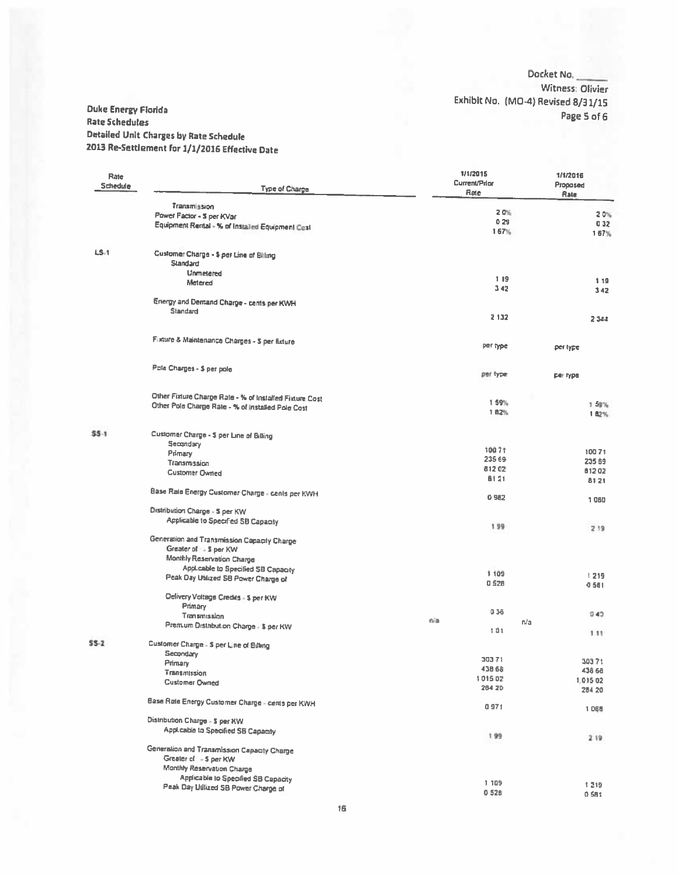Docket No. Witness: Olivier Exhibit No. (MO-4) Revised 8/31/15 Page 5 of 6

#### **Duke Energy Florida Rate Schedules Detailed Unit Charges by Rate Schedule** 2013 Re-Settlement for 1/1/2016 Effective Date

| Rate<br>Schedule | Type of Charge                                                                                               |     | 1/1/2015<br><b>Current/Prior</b><br>Rate | 1/1/2016<br>Proposed<br>Rate |
|------------------|--------------------------------------------------------------------------------------------------------------|-----|------------------------------------------|------------------------------|
|                  | Transmission                                                                                                 |     | 2.0%                                     |                              |
|                  | Power Factor - \$ per KVar                                                                                   |     | 0.29                                     | 20%                          |
|                  | Equipment Rental - % of Installed Equipment Cost                                                             |     | 167%                                     | 032<br>167%                  |
| $LS-1$           | Customer Charge - \$ per Line of Billing<br>Slandard                                                         |     |                                          |                              |
|                  | Unmetered                                                                                                    |     |                                          |                              |
|                  | Metered                                                                                                      |     | 119<br>342                               | 1 1 9<br>342                 |
|                  | Energy and Demand Charge - cents per KWH                                                                     |     |                                          |                              |
|                  | Standard                                                                                                     |     |                                          |                              |
|                  |                                                                                                              |     | 2 132                                    | 2 3 4 4                      |
|                  | Fixture & Maintenance Charges - \$ per fixture                                                               |     | per type                                 | per type.                    |
|                  | Pole Charges - \$ per pole                                                                                   |     | per type                                 | per type                     |
|                  |                                                                                                              |     |                                          |                              |
|                  | Other Fixture Charge Rate - % of Installed Fixture Cost<br>Other Pole Charge Rate - % of installed Pole Cost |     | 1 59%                                    | 1 59%                        |
|                  |                                                                                                              |     | 182%                                     | 1 82%                        |
| $$S-1$           | Customer Charge - \$ per Line of Billing                                                                     |     |                                          |                              |
|                  | Secondary                                                                                                    |     |                                          |                              |
|                  | Primary                                                                                                      |     | 10071<br>235 69                          | 10071                        |
|                  | Transmission                                                                                                 |     | 81202                                    | 235 69                       |
|                  | <b>Customer Owned</b>                                                                                        |     | <b>B121</b>                              | 81202<br>8121                |
|                  | Base Rate Energy Customer Charge - cents per KWH                                                             |     | 0 9 8 2                                  | 1060                         |
|                  | Distribution Charge - 3 per KW                                                                               |     |                                          |                              |
|                  | Applicable to Specified SB Capacity                                                                          |     | 1.99                                     | 219                          |
|                  | Generation and Transmission Capacity Charge                                                                  |     |                                          |                              |
|                  | Greater of : - \$ per KW                                                                                     |     |                                          |                              |
|                  | Monthly Reservation Charge                                                                                   |     |                                          |                              |
|                  | <b>Applicable to Specified SB Capacity</b>                                                                   |     | 1 1 0 9                                  |                              |
|                  | Peak Day Utilized SB Power Charge of                                                                         |     | $Q$ \$28                                 | 1219                         |
|                  | Delivery Voltage Credits - \$ per KW                                                                         |     |                                          | 0501                         |
|                  | Primary                                                                                                      |     |                                          |                              |
|                  | Transmission                                                                                                 |     | 036                                      | 040                          |
|                  | Premum Distribution Charge - \$ per KW                                                                       | nia | n/a                                      |                              |
| 55-2             |                                                                                                              |     | 101                                      | 1.11                         |
|                  | Customer Charge - \$ per Line of Billing                                                                     |     |                                          |                              |
|                  | Secondary<br>Primary                                                                                         |     | 30371                                    | 30371                        |
|                  | Transmission                                                                                                 |     | 438 68                                   | 438 68                       |
|                  | <b>Customer Owned</b>                                                                                        |     | 101502                                   | 1.015 02                     |
|                  |                                                                                                              |     | 264 20                                   | 284 20                       |
|                  | Base Rote Energy Customer Charge - cents per KWH                                                             |     | 0971                                     | 1065                         |
|                  | Distribution Charge - \$ per KW                                                                              |     |                                          |                              |
|                  | Applicable to Specified SB Capacity                                                                          |     | 1.99                                     | 2.19                         |
|                  | Generalion and Transmission Capacity Charge                                                                  |     |                                          |                              |
|                  | Greater of : - \$ per KW                                                                                     |     |                                          |                              |
|                  | Monthly Reservation Charge                                                                                   |     |                                          |                              |
|                  | Applicable to Specified SB Capacity                                                                          |     |                                          |                              |
|                  | Peak Day Utilized SB Power Charge of                                                                         |     | 1 1 0 9                                  | 1219                         |
|                  |                                                                                                              |     | 0528                                     | 0.581                        |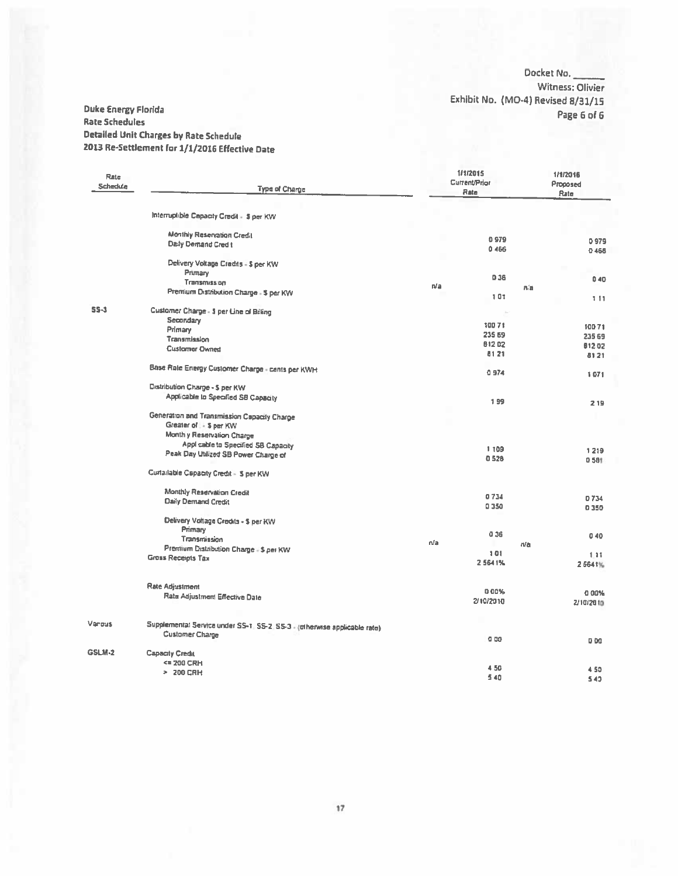Docket No. -Witness: Olivier Exhibit No. (MO-4) Revised 8/31/15 Page 6 of 6

#### **Duke Energy Florida Rate Schedules Detailed Unit Charges by Rate Schedule** 2013 Re-Settlement for 1/1/2016 Effective Date

| Rate<br>Schedule | <b>Type of Charge</b>                                                     |     | 1/1/2015<br>Current/Prior<br>Rate |     | 1/1/2016<br>Proposed<br>Rate |
|------------------|---------------------------------------------------------------------------|-----|-----------------------------------|-----|------------------------------|
|                  | Interruptible Capacity Credit - \$ per KW                                 |     |                                   |     |                              |
|                  |                                                                           |     |                                   |     |                              |
|                  | Monthly Reservation Credit                                                |     | 0979                              |     | 0979                         |
|                  | Daily Demand Cred t                                                       |     | 0 466                             |     | 0466                         |
|                  | Delivery Voltage Credits - \$ per KW                                      |     |                                   |     |                              |
|                  | Primary                                                                   |     |                                   |     |                              |
|                  | <b>Transmission</b>                                                       |     | 0.36                              |     | 0.40                         |
|                  | Premium Distribution Charge - \$ per KW                                   | n/a |                                   | n'n |                              |
|                  |                                                                           |     | 101                               |     | 111                          |
| 55-1             | Customer Charge - \$ per Line of Billing                                  |     | ×                                 |     |                              |
|                  | Secondary                                                                 |     | 10071                             |     |                              |
|                  | Primary                                                                   |     | 235 69                            |     | 10071                        |
|                  | Transmission                                                              |     | 81202                             |     | 235 69                       |
|                  | <b>Customer Owned</b>                                                     |     |                                   |     | 812.02                       |
|                  |                                                                           |     | 8121                              |     | 8121                         |
|                  | Base Rale Energy Customer Charge - cents per KWH                          |     | 0974                              |     | 1071                         |
|                  | Distribution Charge - \$ per KW                                           |     |                                   |     |                              |
|                  | Applicable to Specified SB Capacity                                       |     | 199                               |     |                              |
|                  |                                                                           |     |                                   |     | 219                          |
|                  | Generation and Transmission Capacity Charge                               |     |                                   |     |                              |
|                  | Greater of : - \$ per KW                                                  |     |                                   |     |                              |
|                  | Monthly Reservation Charge                                                |     |                                   |     |                              |
|                  | Applicable to Specified SB Capacity                                       |     |                                   |     |                              |
|                  | Peak Day Utilized SB Power Charge of                                      |     | 1 109                             |     | 1219                         |
|                  |                                                                           |     | 0528                              |     | 0.581                        |
|                  | Curtailable Capacity Credit - 5 per KW                                    |     |                                   |     |                              |
|                  | Monthly Reservation Credit                                                |     |                                   |     |                              |
|                  | <b>Daily Demand Credit</b>                                                |     | 0734                              |     | D 734                        |
|                  |                                                                           |     | 0350                              |     | 0350                         |
|                  | Delivery Voltage Credits - \$ per KW                                      |     |                                   |     |                              |
|                  | Primary                                                                   |     | 0.36                              |     | 040                          |
|                  | Transmission                                                              | n/a |                                   | n/a |                              |
|                  | Premium Distribution Charge - \$ per KW                                   |     | 101                               |     | 1.11                         |
|                  | Gross Receipts Tax                                                        |     | 2 564 1%                          |     | 25641%                       |
|                  |                                                                           |     |                                   |     |                              |
|                  | Rate Adjustment                                                           |     |                                   |     |                              |
|                  |                                                                           |     | 0.00%                             |     | 0.00%                        |
|                  | Rata Adjustment Effective Date                                            |     | 2/10/2010                         |     | 2/10/2010                    |
|                  |                                                                           |     |                                   |     |                              |
| Varous           | Supplemental Service under SS-1, SS-2, SS-3 - (otherwise applicable rate) |     |                                   |     |                              |
|                  | <b>Customer Charge</b>                                                    |     |                                   |     |                              |
|                  |                                                                           |     | 0 <sub>D</sub>                    |     | 0.00                         |
| <b>GSLM-2</b>    | Capacity Credit                                                           |     |                                   |     |                              |
|                  | <= 200 CRH                                                                |     | 4.50                              |     |                              |
|                  | > 200 CRH                                                                 |     | 5.40                              |     | 4.50                         |
|                  |                                                                           |     |                                   |     | 543                          |